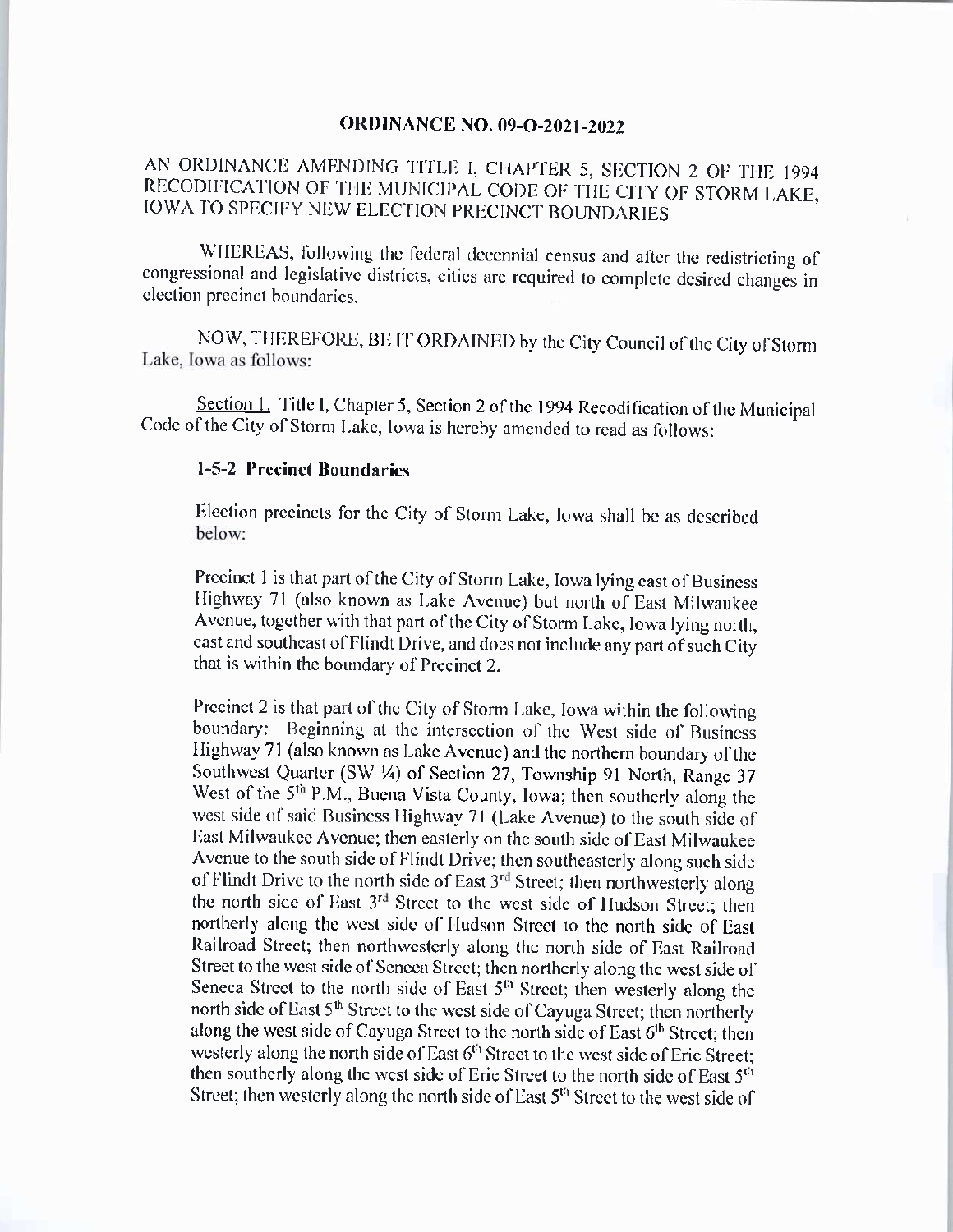## ORDINANCE NO. 09-0-2021-2022

## AN ORDINANCE AMENDING TITLE I, CHAPTER 5, SECTION 2 OF THE 1994 RECODIFICATION OF THE MUNICIPAL CODE OF THE CITY OF STORM LAKE, IOWA TO SPECIFY NEW ELECTION PRECINCT BOUNDARIES

WHEREAS, following the federal decennial census and after the redistricting of congressional and legislative districts, cities are required to complete desired changes in election precinct boundaries. ..

NOW, THEREFORE, BE IT ORDAINED by the City Council of the City of Storm Lake, Iowa as follows:

Section 1. Title I, Chapter 5, Section 2 of the 1994 Recodification of the Municipal Code of the City of Storm Lake, Iowa is hereby amended to read as follows:

## 1-5-2 Precinct Boundaries

Election precincts for the City of Storm Lake, Iowa shall be as described below:

Precinct <sup>1</sup> is that part of the City of Storm Lake, Iowa lying east of Business Highway 71 (also known as Lake Avenue) but north of East Milwaukee Avenue, together with that part of the City of Storm Lake, Iowa lying north, east and southeast of Flindt Drive, and does not include any part of such City that is within the boundary of Precinct 2.

Precinct 2 is that part of the City of Storm Lake, Iowa within the following boundary: Beginning at the intersection of the West side of Business Highway 71 (also known as Lake Avenue) and the northern boundary of the Southwest Quarter (SW ¼) of Section 27, Township 91 North, Range 37 West of the 5<sup>th</sup> P.M., Buena Vista County, Iowa; then southerly along the west side of said Business Highway 71 (Lake Avenue) to the south side of East Milwaukee Avenue; then easterly on the south side of East Milwaukee Avenue to the south side of Flindt Drive; then southeasterly along such side of Flindt Drive to the north side of East 3<sup>rd</sup> Street; then northwesterly along the north side of East 3<sup>rd</sup> Street to the west side of Hudson Street; then northerly along the west side of Hudson Street to the north side of East Railroad Street; then northwesterly along the north side of East Railroad Street to the west side of Seneca Street; then northerly along the west side of Seneca Street to the north side of East  $5<sup>th</sup>$  Street; then westerly along the north side of East 5<sup>th</sup> Street to the west side of Cayuga Street; then northerly along the west side of Cayuga Street to the north side of East  $6<sup>th</sup>$  Street; then westerly along the north side of East  $6<sup>t<sub>0</sub></sup>$  Street to the west side of Erie Street; then southerly along the west side of Erie Street to the north side of East  $5^{th}$ Street; then westerly along the north side of East  $5<sup>th</sup>$  Street to the west side of